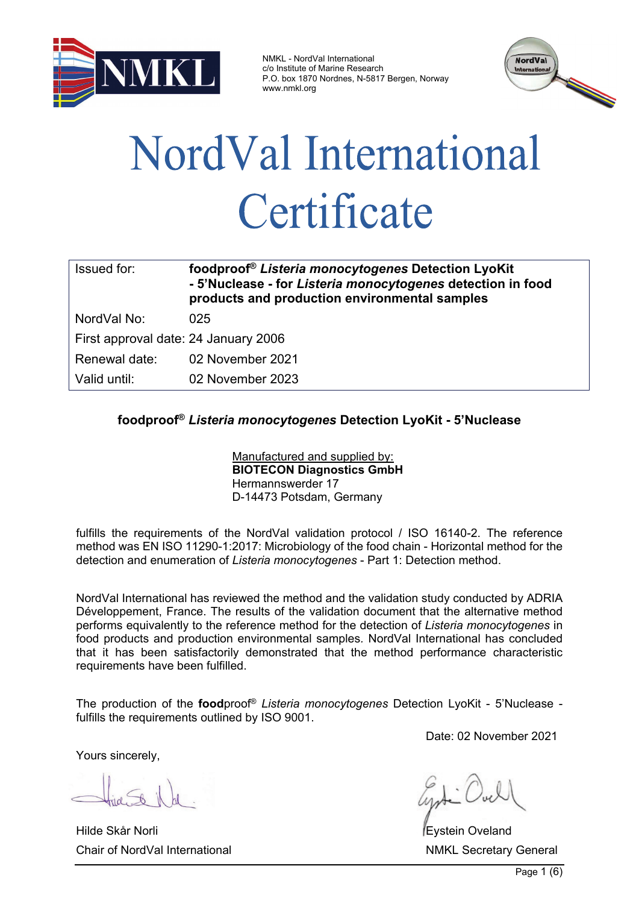

NMKL - NordVal International c/o Institute of Marine Research P.O. box 1870 Nordnes, N-5817 Bergen, Norway www.nmkl.org



# NordVal International Certificate

| Issued for:                          | foodproof <sup>®</sup> Listeria monocytogenes Detection LyoKit<br>- 5'Nuclease - for Listeria monocytogenes detection in food<br>products and production environmental samples |
|--------------------------------------|--------------------------------------------------------------------------------------------------------------------------------------------------------------------------------|
| NordVal No:                          | 025                                                                                                                                                                            |
| First approval date: 24 January 2006 |                                                                                                                                                                                |
| Renewal date:                        | 02 November 2021                                                                                                                                                               |
| Valid until:                         | 02 November 2023                                                                                                                                                               |

# **foodproof®** *Listeria monocytogenes* **Detection LyoKit - 5'Nuclease**

Manufactured and supplied by: **BIOTECON Diagnostics GmbH** Hermannswerder 17 D-14473 Potsdam, Germany

fulfills the requirements of the NordVal validation protocol / ISO 16140-2. The reference method was EN ISO 11290-1:2017: Microbiology of the food chain - Horizontal method for the detection and enumeration of *Listeria monocytogenes* - Part 1: Detection method.

NordVal International has reviewed the method and the validation study conducted by ADRIA Développement, France. The results of the validation document that the alternative method performs equivalently to the reference method for the detection of *Listeria monocytogenes* in food products and production environmental samples*.* NordVal International has concluded that it has been satisfactorily demonstrated that the method performance characteristic requirements have been fulfilled.

The production of the **food**proof® *Listeria monocytogenes* Detection LyoKit - 5'Nuclease fulfills the requirements outlined by ISO 9001.

Yours sincerely,

Hilde Skår Norli Eystein Oveland Chair of NordVal International Network Chair Secretary General NMKL Secretary General

Date: 02 November 2021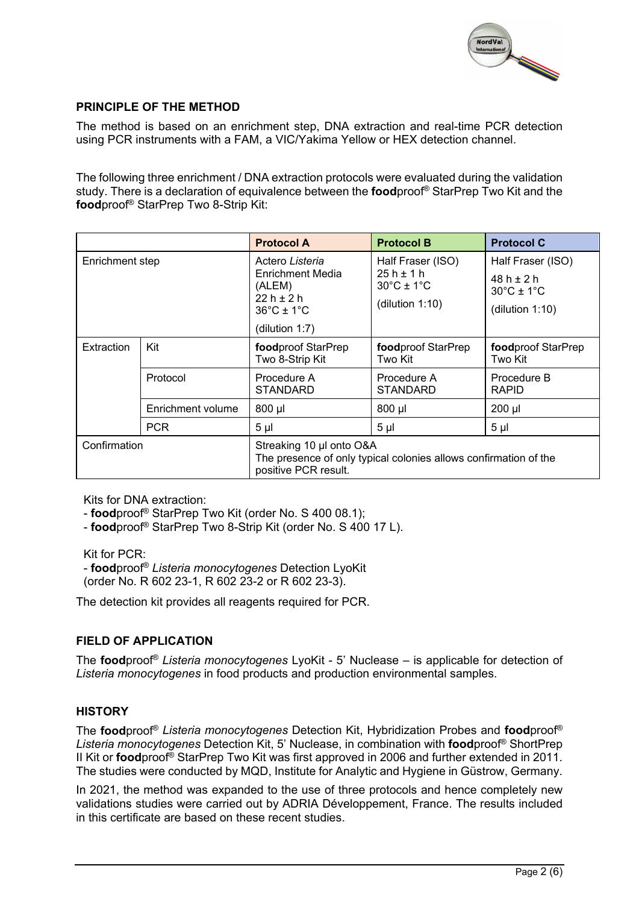

## **PRINCIPLE OF THE METHOD**

The method is based on an enrichment step, DNA extraction and real-time PCR detection using PCR instruments with a FAM, a VIC/Yakima Yellow or HEX detection channel.

The following three enrichment / DNA extraction protocols were evaluated during the validation study. There is a declaration of equivalence between the **food**proof® StarPrep Two Kit and the **food**proof® StarPrep Two 8-Strip Kit:

|                 |                   | <b>Protocol A</b>                                                                                                    | <b>Protocol B</b>                               | <b>Protocol C</b>               |  |  |
|-----------------|-------------------|----------------------------------------------------------------------------------------------------------------------|-------------------------------------------------|---------------------------------|--|--|
| Enrichment step |                   | Actero Listeria                                                                                                      | Half Fraser (ISO)                               | Half Fraser (ISO)               |  |  |
|                 |                   | Enrichment Media<br>(ALEM)                                                                                           | $25h \pm 1h$<br>$30^{\circ}$ C ± 1 $^{\circ}$ C | $48h + 2h$                      |  |  |
|                 |                   | $22h + 2h$                                                                                                           | (dilution $1:10$ )                              | $30^{\circ}$ C ± 1 $^{\circ}$ C |  |  |
|                 |                   | $36^{\circ}$ C ± 1 $^{\circ}$ C                                                                                      |                                                 | (dilution 1:10)                 |  |  |
|                 |                   | (dilution $1:7$ )                                                                                                    |                                                 |                                 |  |  |
| Extraction      | Kit               | foodproof StarPrep<br>Two 8-Strip Kit                                                                                | foodproof StarPrep<br>Two Kit                   | foodproof StarPrep<br>Two Kit   |  |  |
|                 | Protocol          | Procedure A<br><b>STANDARD</b>                                                                                       | Procedure A<br><b>STANDARD</b>                  | Procedure B<br><b>RAPID</b>     |  |  |
|                 | Enrichment volume | 800 µl                                                                                                               | 800 µl                                          | $200$ $\mu$                     |  |  |
|                 | <b>PCR</b>        | 5 <sub>µ</sub>                                                                                                       | 5 <sub>µ</sub>                                  | 5 <sub>µ</sub>                  |  |  |
| Confirmation    |                   | Streaking 10 µl onto O&A<br>The presence of only typical colonies allows confirmation of the<br>positive PCR result. |                                                 |                                 |  |  |

Kits for DNA extraction:

- **food**proof® StarPrep Two Kit (order No. S 400 08.1);

- **food**proof® StarPrep Two 8-Strip Kit (order No. S 400 17 L).

Kit for PCR:

- **food**proof® *Listeria monocytogenes* Detection LyoKit (order No. R 602 23-1, R 602 23-2 or R 602 23-3).

The detection kit provides all reagents required for PCR.

# **FIELD OF APPLICATION**

The **food**proof® *Listeria monocytogenes* LyoKit - 5' Nuclease – is applicable for detection of *Listeria monocytogenes* in food products and production environmental samples.

#### **HISTORY**

The **food**proof® *Listeria monocytogenes* Detection Kit, Hybridization Probes and **food**proof® *Listeria monocytogenes* Detection Kit, 5' Nuclease, in combination with **food**proof® ShortPrep II Kit or **food**proof® StarPrep Two Kit was first approved in 2006 and further extended in 2011. The studies were conducted by MQD, Institute for Analytic and Hygiene in Güstrow, Germany.

In 2021, the method was expanded to the use of three protocols and hence completely new validations studies were carried out by ADRIA Développement, France. The results included in this certificate are based on these recent studies.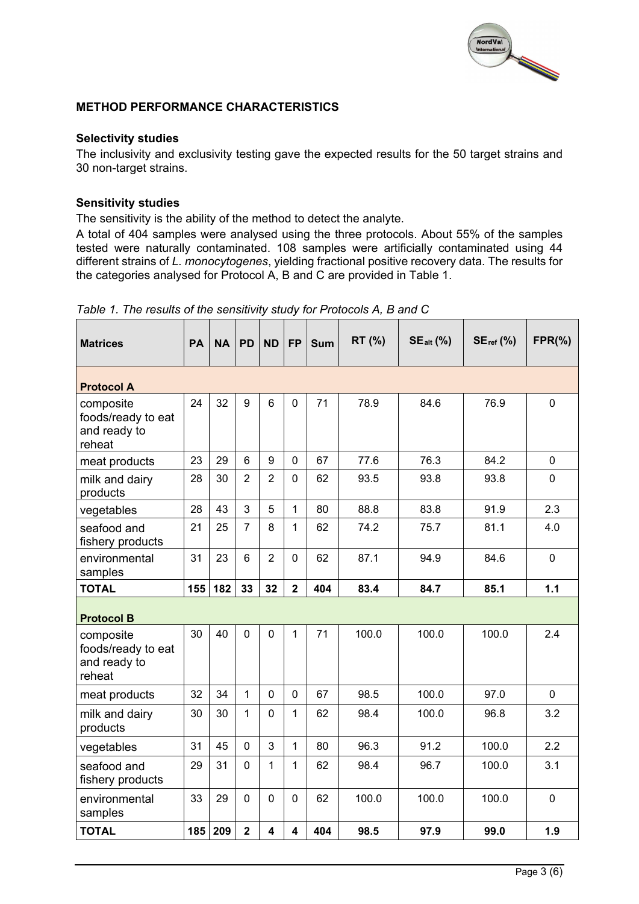

### **METHOD PERFORMANCE CHARACTERISTICS**

#### **Selectivity studies**

The inclusivity and exclusivity testing gave the expected results for the 50 target strains and 30 non-target strains.

#### **Sensitivity studies**

The sensitivity is the ability of the method to detect the analyte.

A total of 404 samples were analysed using the three protocols. About 55% of the samples tested were naturally contaminated. 108 samples were artificially contaminated using 44 different strains of *L. monocytogenes*, yielding fractional positive recovery data. The results for the categories analysed for Protocol A, B and C are provided in Table 1.

| <b>Matrices</b>                                           | <b>PA</b> | <b>NA</b> | <b>PD</b>      | <b>ND</b>      | <b>FP</b>      | <b>Sum</b> | RT (%) | $SE_{alt}$ (%) | $SEref$ (%) | $FPR(\% )$  |
|-----------------------------------------------------------|-----------|-----------|----------------|----------------|----------------|------------|--------|----------------|-------------|-------------|
| <b>Protocol A</b>                                         |           |           |                |                |                |            |        |                |             |             |
| composite<br>foods/ready to eat<br>and ready to<br>reheat | 24        | 32        | 9              | 6              | $\mathbf 0$    | 71         | 78.9   | 84.6           | 76.9        | $\mathbf 0$ |
| meat products                                             | 23        | 29        | 6              | 9              | $\mathbf 0$    | 67         | 77.6   | 76.3           | 84.2        | $\mathbf 0$ |
| milk and dairy<br>products                                | 28        | 30        | $\overline{2}$ | $\overline{2}$ | $\mathbf{0}$   | 62         | 93.5   | 93.8           | 93.8        | $\mathbf 0$ |
| vegetables                                                | 28        | 43        | 3              | 5              | 1              | 80         | 88.8   | 83.8           | 91.9        | 2.3         |
| seafood and<br>fishery products                           | 21        | 25        | 7              | 8              | 1              | 62         | 74.2   | 75.7           | 81.1        | 4.0         |
| environmental<br>samples                                  | 31        | 23        | 6              | $\overline{2}$ | $\mathbf 0$    | 62         | 87.1   | 94.9           | 84.6        | $\mathbf 0$ |
| <b>TOTAL</b>                                              | 155       | 182       | 33             | 32             | $\overline{2}$ | 404        | 83.4   | 84.7           | 85.1        | 1.1         |
| <b>Protocol B</b>                                         |           |           |                |                |                |            |        |                |             |             |
| composite<br>foods/ready to eat<br>and ready to<br>reheat | 30        | 40        | $\overline{0}$ | 0              | $\mathbf{1}$   | 71         | 100.0  | 100.0          | 100.0       | 2.4         |
| meat products                                             | 32        | 34        | $\mathbf{1}$   | $\Omega$       | $\mathbf 0$    | 67         | 98.5   | 100.0          | 97.0        | $\mathbf 0$ |
| milk and dairy<br>products                                | 30        | 30        | 1              | $\overline{0}$ | 1              | 62         | 98.4   | 100.0          | 96.8        | 3.2         |
| vegetables                                                | 31        | 45        | $\overline{0}$ | 3              | $\mathbf{1}$   | 80         | 96.3   | 91.2           | 100.0       | 2.2         |
| seafood and<br>fishery products                           | 29        | 31        | $\Omega$       | 1              | 1              | 62         | 98.4   | 96.7           | 100.0       | 3.1         |
| environmental<br>samples                                  | 33        | 29        | 0              | 0              | $\mathbf 0$    | 62         | 100.0  | 100.0          | 100.0       | $\mathbf 0$ |
|                                                           |           |           |                |                |                |            |        |                |             |             |

*Table 1. The results of the sensitivity study for Protocols A, B and C*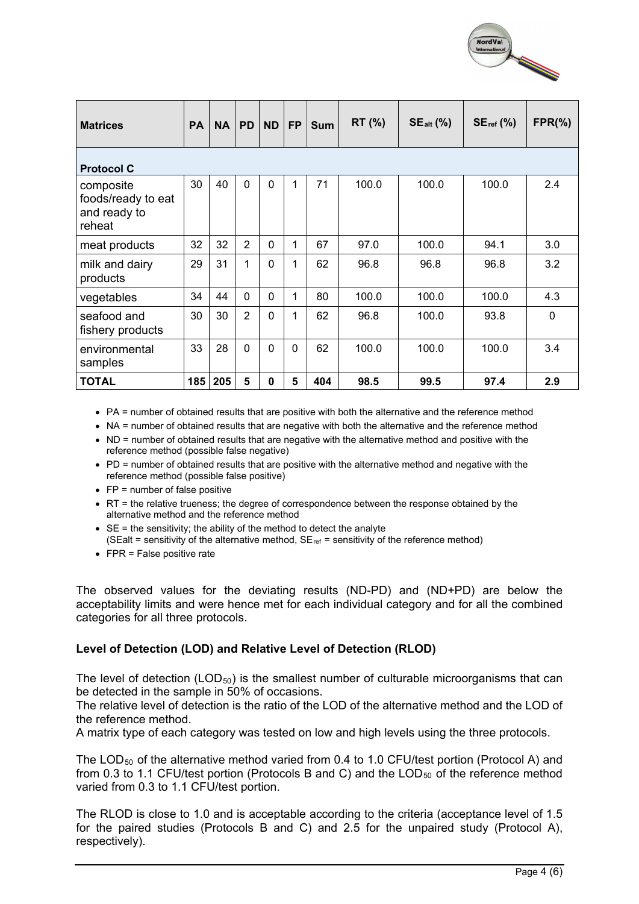

| <b>Matrices</b>                                           | <b>PA</b> | <b>NA</b> | <b>PD</b>      | <b>ND</b>   | <b>FP</b> | <b>Sum</b> | <b>RT</b> (%) | $SE_{alt}$ (%) | $SE_{ref}$ (%) | $FPR(\% )$ |  |  |
|-----------------------------------------------------------|-----------|-----------|----------------|-------------|-----------|------------|---------------|----------------|----------------|------------|--|--|
| <b>Protocol C</b>                                         |           |           |                |             |           |            |               |                |                |            |  |  |
| composite<br>foods/ready to eat<br>and ready to<br>reheat | 30        | 40        | $\mathbf{0}$   | $\mathbf 0$ | 1         | 71         | 100.0         | 100.0          | 100.0          | 2.4        |  |  |
| meat products                                             | 32        | 32        | $\overline{2}$ | $\Omega$    | 1         | 67         | 97.0          | 100.0          | 94.1           | 3.0        |  |  |
| milk and dairy<br>products                                | 29        | 31        | 1              | $\mathbf 0$ | 1         | 62         | 96.8          | 96.8           | 96.8           | 3.2        |  |  |
| vegetables                                                | 34        | 44        | $\mathbf{0}$   | 0           | 1         | 80         | 100.0         | 100.0          | 100.0          | 4.3        |  |  |
| seafood and<br>fishery products                           | 30        | 30        | $\overline{2}$ | $\Omega$    | 1         | 62         | 96.8          | 100.0          | 93.8           | $\Omega$   |  |  |
| environmental<br>samples                                  | 33        | 28        | $\mathbf 0$    | $\Omega$    | $\Omega$  | 62         | 100.0         | 100.0          | 100.0          | 3.4        |  |  |
| <b>TOTAL</b>                                              | 185       | 205       | 5              | 0           | 5         | 404        | 98.5          | 99.5           | 97.4           | 2.9        |  |  |

• PA = number of obtained results that are positive with both the alternative and the reference method

• NA = number of obtained results that are negative with both the alternative and the reference method

• ND = number of obtained results that are negative with the alternative method and positive with the reference method (possible false negative)

- PD = number of obtained results that are positive with the alternative method and negative with the reference method (possible false positive)
- FP = number of false positive
- RT = the relative trueness; the degree of correspondence between the response obtained by the alternative method and the reference method
- $\bullet$  SE = the sensitivity; the ability of the method to detect the analyte (SEalt = sensitivity of the alternative method,  $SE_{ref}$  = sensitivity of the reference method)
- FPR = False positive rate

The observed values for the deviating results (ND-PD) and (ND+PD) are below the acceptability limits and were hence met for each individual category and for all the combined categories for all three protocols.

#### **Level of Detection (LOD) and Relative Level of Detection (RLOD)**

The level of detection (LOD $_{50}$ ) is the smallest number of culturable microorganisms that can be detected in the sample in 50% of occasions.

The relative level of detection is the ratio of the LOD of the alternative method and the LOD of the reference method.

A matrix type of each category was tested on low and high levels using the three protocols.

The LOD<sub>50</sub> of the alternative method varied from 0.4 to 1.0 CFU/test portion (Protocol A) and from 0.3 to 1.1 CFU/test portion (Protocols B and C) and the  $\text{LOD}_{50}$  of the reference method varied from 0.3 to 1.1 CFU/test portion.

The RLOD is close to 1.0 and is acceptable according to the criteria (acceptance level of 1.5 for the paired studies (Protocols B and C) and 2.5 for the unpaired study (Protocol A), respectively).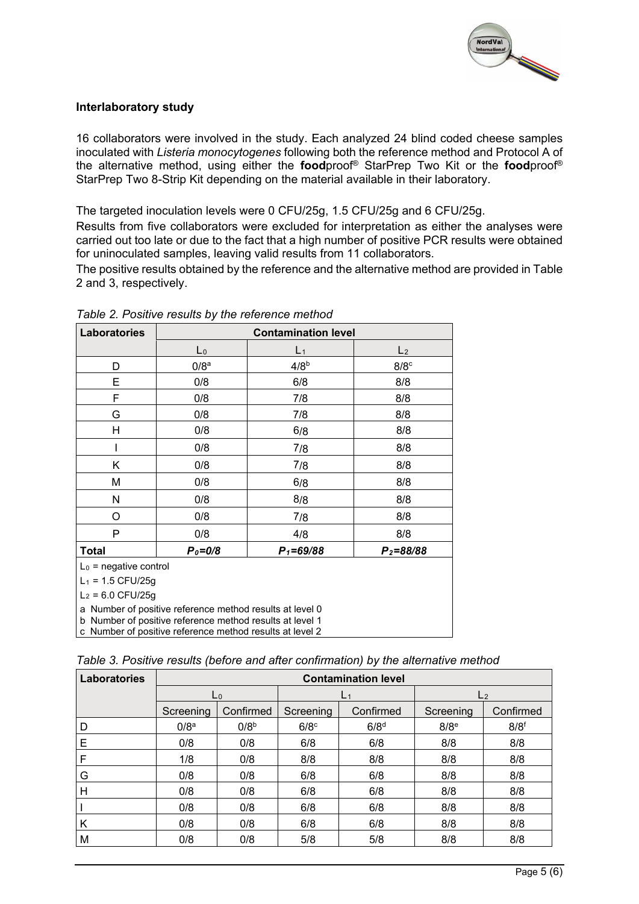

## **Interlaboratory study**

16 collaborators were involved in the study. Each analyzed 24 blind coded cheese samples inoculated with *Listeria monocytogenes* following both the reference method and Protocol A of the alternative method, using either the **food**proof® StarPrep Two Kit or the **food**proof® StarPrep Two 8-Strip Kit depending on the material available in their laboratory.

The targeted inoculation levels were 0 CFU/25g, 1.5 CFU/25g and 6 CFU/25g.

Results from five collaborators were excluded for interpretation as either the analyses were carried out too late or due to the fact that a high number of positive PCR results were obtained for uninoculated samples, leaving valid results from 11 collaborators.

The positive results obtained by the reference and the alternative method are provided in Table 2 and 3, respectively.

| Laboratories             |                                                                                                                      | <b>Contamination level</b> |                    |
|--------------------------|----------------------------------------------------------------------------------------------------------------------|----------------------------|--------------------|
|                          | $L_0$                                                                                                                | $L_1$                      | L <sub>2</sub>     |
| D                        | 0/8 <sup>a</sup>                                                                                                     | 4/8 <sup>b</sup>           | $8/8$ <sup>c</sup> |
| E                        | 0/8                                                                                                                  | 6/8                        | 8/8                |
| F                        | 0/8                                                                                                                  | 7/8                        | 8/8                |
| G                        | 0/8                                                                                                                  | 7/8                        | 8/8                |
| H                        | 0/8                                                                                                                  | 6/8                        | 8/8                |
|                          | 0/8                                                                                                                  | 7/8                        | 8/8                |
| Κ                        | 0/8                                                                                                                  | 7/8                        | 8/8                |
| М                        | 0/8                                                                                                                  | 6/8                        | 8/8                |
| N                        | 0/8                                                                                                                  | 8/8                        | 8/8                |
| O                        | 0/8                                                                                                                  | 7/8                        | 8/8                |
| P                        | 0/8                                                                                                                  | 4/8                        | 8/8                |
| Total                    | $P_0 = 0/8$                                                                                                          | $P_1 = 69/88$              | $P_2 = 88/88$      |
| $L_0$ = negative control |                                                                                                                      |                            |                    |
| $L_1$ = 1.5 CFU/25g      |                                                                                                                      |                            |                    |
| $L_2$ = 6.0 CFU/25g      |                                                                                                                      |                            |                    |
|                          | a Number of positive reference method results at level 0                                                             |                            |                    |
|                          | b Number of positive reference method results at level 1<br>c Number of positive reference method results at level 2 |                            |                    |

*Table 2. Positive results by the reference method*

|  | Table 3. Positive results (before and after confirmation) by the alternative method |  |  |  |  |  |  |  |
|--|-------------------------------------------------------------------------------------|--|--|--|--|--|--|--|
|--|-------------------------------------------------------------------------------------|--|--|--|--|--|--|--|

| Laboratories | <b>Contamination level</b> |                  |                    |                  |                    |                  |  |  |  |  |
|--------------|----------------------------|------------------|--------------------|------------------|--------------------|------------------|--|--|--|--|
|              |                            | L <sub>0</sub>   |                    | L <sub>1</sub>   |                    | L <sub>2</sub>   |  |  |  |  |
|              | Screening                  | Confirmed        | Screening          | Confirmed        | Screening          | Confirmed        |  |  |  |  |
| D            | 0/8 <sup>a</sup>           | 0/8 <sup>b</sup> | $6/8$ <sup>c</sup> | 6/8 <sup>d</sup> | $8/8$ <sup>e</sup> | 8/8 <sup>f</sup> |  |  |  |  |
| Е            | 0/8                        | 0/8              | 6/8                | 6/8              | 8/8                | 8/8              |  |  |  |  |
|              | 1/8                        | 0/8              | 8/8                | 8/8              | 8/8                | 8/8              |  |  |  |  |
| G            | 0/8                        | 0/8              | 6/8                | 6/8              | 8/8                | 8/8              |  |  |  |  |
| Н            | 0/8                        | 0/8              | 6/8                | 6/8              | 8/8                | 8/8              |  |  |  |  |
|              | 0/8                        | 0/8              | 6/8                | 6/8              | 8/8                | 8/8              |  |  |  |  |
| К            | 0/8                        | 0/8              | 6/8                | 6/8              | 8/8                | 8/8              |  |  |  |  |
| M            | 0/8                        | 0/8              | 5/8                | 5/8              | 8/8                | 8/8              |  |  |  |  |